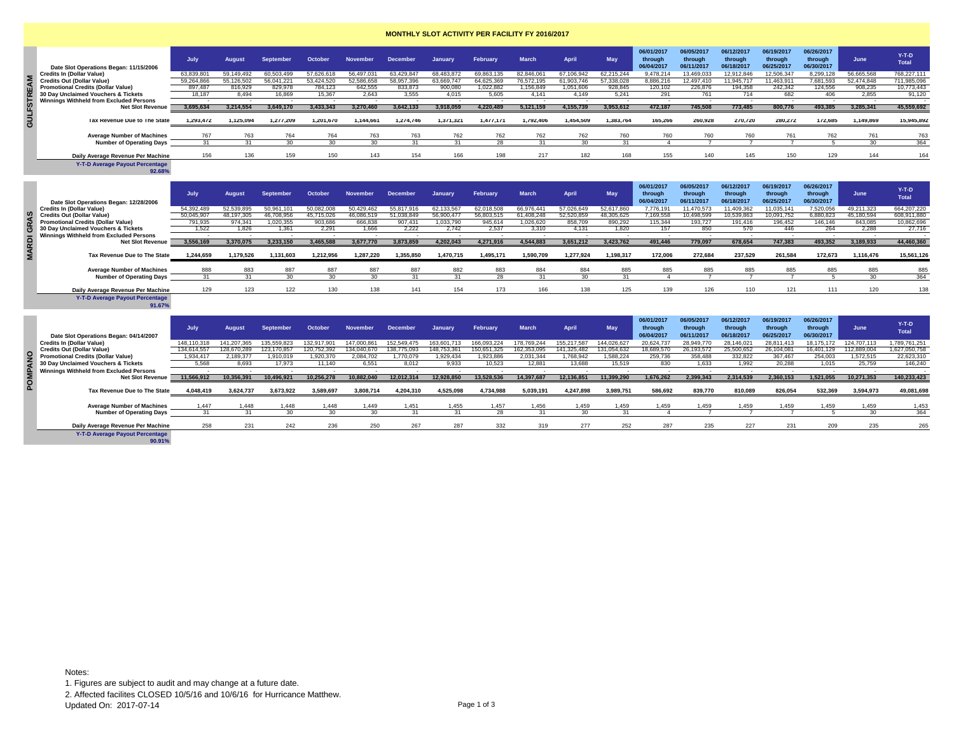## **MONTHLY SLOT ACTIVITY PER FACILITY FY 2016/2017**

|                                                | July       | August     | ember         | October    | <b>November</b> | <b>December</b> | January    | February   | <b>March</b> | April      | May        | 06/01/201<br>through | 06/05/2017<br>through | 06/12/2017<br>through | 06/19/2017<br>through | 06/26/2017<br>through | June       | $Y-T-D$<br><b>Total</b> |
|------------------------------------------------|------------|------------|---------------|------------|-----------------|-----------------|------------|------------|--------------|------------|------------|----------------------|-----------------------|-----------------------|-----------------------|-----------------------|------------|-------------------------|
| Date Slot Operations Began: 11/15/2006         |            |            |               |            |                 |                 |            |            |              |            |            | 06/04/201            | 06/11/2017            | 06/18/2017            | 06/25/2017            | 06/30/2017            |            |                         |
| <b>Credits In (Dollar Value)</b>               | 63.839.80  | 59.149.49  | 10.503.495    |            | 56.497.03       | 63.429.84       | 68.483.87  | 69.863     | 82.846.06    | 67.106.942 | 62.215.244 | 9.478.21             | 3.469.033             | 2.912.846             | 12.506.347            | 8.299.128             | 56.665.568 | 768,227,111             |
| <b>Credits Out (Dollar Value)</b>              | 59,264,866 | 55.126.502 | 56.041.221    | 53.424.520 | 52,586,658      | 58,957,396      | 63,669,747 | 64.625.369 | 76,572,195   | 61.903.746 | 57,338,028 | 8.886.21             | 12.497.410            | 1.945.717             | 1.463.911             | 7.681.593             | 52.474.848 | 711,985,096             |
| <b>Promotional Credits (Dollar Value)</b>      | 897.487    | 816.929    | 829.978       | 784.123    | 642.555         | 833.873         | 900,080    | ,022,882   | 1,156,849    | 1,051,606  | 928.845    | 120,102              | 226.876               | 194.358               | 242.342               | 124.556               | 908.235    | 10,773,443              |
| 30 Day Unclaimed Vouchers & Tickets            | 18.187     | 8.494      | 16.869        | 15.367     | 2.643           | 3.555           | 4.015      | 5.605      | 4.141        | 4.149      | 5,241      | 291                  | 761                   | 714                   | 682                   | 406                   | 2.855      | 91.120                  |
| <b>Winnings Withheld from Excluded Persons</b> |            |            |               |            |                 |                 |            |            |              |            |            |                      |                       |                       |                       |                       |            |                         |
| <b>Net Slot Revenue</b>                        | 3,695,634  | 3,214,554  | 3.649.<br>170 | .433.343   |                 | 3,642,133       | 3,918,059  | 4,220,489  | 5.121.159    | 4,155,739  | 3,953,612  | 472.187              | 745.50                | 773,485               | 800,776               | 493,385               | 3,285,341  | 45,559,692              |
| Tax Revenue Due to The State                   | 1,293,472  | 1.125.094  | 1.277.209     | 1.201.670  | 1.144.661       | 1.274.746       | 1.371.321  | 1.477.171  | 1.792.406    | 1,454,509  | 1,383,764  | 165.266              | 260.928               | 270,720               | 280.272               | 172.685               | 1,149,869  | 15,945,892              |
| <b>Average Number of Machines</b>              | 767        | 763        | 764           | 764        | 763             | 763             | 762        | 762        | 762          | 762        | 760        |                      |                       | 760                   | 761                   | 762                   | 761        | 763                     |
| <b>Number of Operating Days</b>                |            | 31         | 30            | 30         | 30              |                 |            | 28         |              | 30         |            |                      |                       |                       |                       |                       |            | 364                     |
| Daily Average Revenue Per Machine              | 156        | 136        | 159           | 150        | 143             | 154             | 166        | 198        | 217          |            | 168        | 155                  | 140                   | 145                   | 150                   | 129                   | 144        | 164                     |
| V.T.D. Average Rayout Researches               |            |            |               |            |                 |                 |            |            |              |            |            |                      |                       |                       |                       |                       |            |                         |

|                               | Credits in (Dollar Value)                        | 63,839,80  | 59.149.492    | 60,503,499       | 57,626,618  | 56,497,031      | 63.429.84       | 68.483.872  | 69,863,135  | 82.846.06    | 67.106.942  | 62,215,244  | 9.478.21                            | 13.469.033                          | 12.912.846                          | 12,506,34                           | 8,299,128                           | 56,665,568               | 768,227,111             |
|-------------------------------|--------------------------------------------------|------------|---------------|------------------|-------------|-----------------|-----------------|-------------|-------------|--------------|-------------|-------------|-------------------------------------|-------------------------------------|-------------------------------------|-------------------------------------|-------------------------------------|--------------------------|-------------------------|
|                               | <b>Credits Out (Dollar Value)</b>                | 59.264.866 | 55.126.502    | 56.041.221       | 53.424.520  | 52,586,658      | 58.957.396      | 63.669.747  | 64.625.369  | 76.572.195   | 61.903.746  | 57.338.028  | 8.886.216                           | 12.497.410                          | 11.945.717                          | 11.463.911                          | 7.681.593                           | 52.474.848               | 711.985.096             |
|                               | <b>Promotional Credits (Dollar Value)</b>        | 897.487    | 816,929       | 829.978          | 784.123     | 642,555         | 833,873         | 900.080     | 1,022,882   | 1,156,849    | 1.051.606   | 928.845     | 120,102                             | 226,876                             | 194.358                             | 242,342                             | 124,556                             | 908.235                  | 10,773,443              |
|                               | 30 Day Unclaimed Vouchers & Tickets              | 18.187     | 8.494         | 16,869           | 15,367      | 2.643           | 3.555           | 4.015       | 5.605       | 4.141        | 4.149       | 5.241       | 291                                 | 761                                 | 714                                 | 682                                 | 406                                 | 2,855                    | 91.120                  |
|                               | <b>Winnings Withheld from Excluded Persons</b>   |            |               |                  |             |                 |                 |             |             |              |             |             | $\sim$                              |                                     |                                     |                                     |                                     | - 14                     |                         |
|                               | <b>Net Slot Revenue</b>                          | 3,695,634  | 3.214.554     | 3.649.170        | 3,433,343   | 3.270.460       | 3,642,133       | 3.918.059   | 4,220,489   | 5,121,159    | 4.155.739   | 3,953,612   | 472,187                             | 745,508                             | 773.485                             | 800.776                             | 493,385                             | 3.285.341                | 45,559,692              |
|                               |                                                  |            |               |                  |             |                 |                 |             |             |              |             |             |                                     |                                     |                                     |                                     |                                     |                          |                         |
| $\overline{\phantom{0}}$<br>ō | Tax Revenue Due to The State                     | 1.293.472  | 1.125.094     | 1.277.209        | 1.201.670   | 1.144.661       | 1.274.746       | 1.371.321   | 1.477.171   | 1.792.406    | 1.454.509   | 1.383.764   | 165.266                             | 260.928                             | 270.720                             | 280.272                             | 172.685                             | 1.149.869                | 15,945,892              |
|                               | <b>Average Number of Machines</b>                | 767        | 763           | 764              | 764         | 763             | 763             | 762         | 762         | 762          | 762         | 760         | 760                                 | 760                                 | 760                                 | 761                                 | 762                                 | 761                      | 763                     |
|                               | <b>Number of Operating Davs</b>                  | 31         | 31            | 30               | 30          | 30              | 31              | 31          | 28          | 31           | 30          | 31          | $\mathbf{A}$                        | $\overline{7}$                      |                                     |                                     | -5                                  | 30                       | 364                     |
|                               | Daily Average Revenue Per Machine                | 156        | 136           | 159              | 150         | 143             | 154             | 166         | 198         | 217          | 182         | 168         | 155                                 | 140                                 | 145                                 | 150                                 | 129                                 | 144                      | 164                     |
|                               | <b>Y-T-D Average Payout Percentage</b>           |            |               |                  |             |                 |                 |             |             |              |             |             |                                     |                                     |                                     |                                     |                                     |                          |                         |
|                               | 92.68%                                           |            |               |                  |             |                 |                 |             |             |              |             |             |                                     |                                     |                                     |                                     |                                     |                          |                         |
|                               |                                                  | July       | <b>August</b> | <b>September</b> | October     | <b>November</b> | <b>December</b> | January     | February    | <b>March</b> | April       | May         | 06/01/2017<br>through<br>06/04/2017 | 06/05/2017<br>through<br>06/11/2017 | 06/12/2017<br>through<br>06/18/2017 | 06/19/2017<br>through<br>06/25/2017 | 06/26/2017<br>through<br>06/30/2017 | June                     | $Y-T-D$<br><b>Total</b> |
|                               | Date Slot Operations Began: 12/28/2006           |            |               |                  |             |                 |                 |             |             |              |             |             |                                     |                                     |                                     |                                     |                                     |                          |                         |
|                               | <b>Credits In (Dollar Value)</b>                 | 54.392.489 | 52.539.895    | 50.961.101       | 50.082.008  | 50.429.462      | 55,817,916      | 62.133.567  | 62,018,508  | 66,976,441   | 57.026.649  | 52.617.860  | 7.776.191                           | 11.470.573                          | 11.409.362                          | 11.035.141                          | 7.520.056                           | 49.211.323               | 664,207,220             |
|                               | <b>Credits Out (Dollar Value)</b>                | 50.045.90  | 48.197.305    | 46,708,956       | 45.715.026  | 46.086.519      | 51.038.849      | 56,900.477  | 56.803.515  | 61,408,248   | 52,520,859  | 48.305.625  | 7.169.558                           | 10.498.599                          | 10.539.863                          | 10.091.752                          | 6,880,823                           | 45.180.594               | 608.911.880             |
|                               | <b>Promotional Credits (Dollar Value)</b>        | 791,935    | 974.341       | 1,020,355        | 903,686     | 666,838         | 907,431         | 1,033,790   | 945,614     | 1,026,620    | 858,709     | 890,292     | 115,344                             | 193,727                             | 191,416                             | 196,452                             | 146,146                             | 843,085                  | 10,862,696              |
|                               | 30 Day Unclaimed Vouchers & Tickets              | 1.522      | 1.826         | 1.361            | 2.291       | 1,666           | 2.222           | 2.742       | 2.537       | 3,310        | 4.131       | 1.820       | 157                                 | 850                                 | 570                                 | 446                                 | 264                                 | 2.288                    | 27,716                  |
|                               | <b>Winnings Withheld from Excluded Persons</b>   |            | $\sim$        |                  |             |                 |                 |             |             |              |             |             | $\overline{\phantom{a}}$            |                                     |                                     |                                     |                                     | $\overline{\phantom{a}}$ |                         |
|                               |                                                  |            |               |                  |             |                 |                 |             |             |              |             |             |                                     |                                     |                                     |                                     |                                     |                          |                         |
|                               |                                                  |            |               |                  |             |                 |                 |             |             |              |             |             |                                     |                                     |                                     |                                     |                                     |                          |                         |
|                               | <b>Net Slot Revenue</b>                          | 3,556,169  | 3.370.075     | 3.233.150        | 3,465,588   | 3,677,770       | 3.873.859       | 4,202,043   | 4,271,916   | 4,544,883    | 3,651,212   | 3,423,762   | 491,446                             | 779,097                             | 678.654                             | 747.383                             | 493,352                             | 3,189,933                | 44,460,360              |
|                               | Tax Revenue Due to The State                     | 1,244,659  | 1,179,526     | 1,131,603        | 1,212,956   | 1,287,220       | 1,355,850       | 1,470,715   | 1,495,171   | 1,590,709    | 1,277,924   | 1,198,317   | 172,006                             | 272,684                             | 237,529                             | 261,584                             | 172,673                             | 1,116,476                | 15,561,126              |
|                               | <b>Average Number of Machines</b>                | 888        | 883           | 887              | 887         | 887             | 887             | 882         | 883         | 884          | 884         | 885         | 885                                 | 885                                 | 885                                 | 885                                 | 885                                 | 885                      | 885                     |
|                               | <b>Number of Operating Days</b>                  | 31         | 31            | 30               | 30          | 30              | 31              | 31          | 28          | 31           | 30          | 31          | $\overline{4}$                      | $\overline{7}$                      |                                     |                                     | -5                                  | 30                       | 364                     |
|                               |                                                  |            |               |                  |             |                 |                 |             |             |              |             |             |                                     |                                     |                                     |                                     |                                     |                          |                         |
|                               | Daily Average Revenue Per Machine                | 129        | 123           | 122              | 130         | 138             | 141             | 154         | 173         | 166          | 138         | 125         | 139                                 | 126                                 | 110                                 | 121                                 | 111                                 | 120                      | 138                     |
|                               | <b>Y-T-D Average Payout Percentage</b><br>91.67% |            |               |                  |             |                 |                 |             |             |              |             |             |                                     |                                     |                                     |                                     |                                     |                          |                         |
|                               |                                                  | July       | <b>August</b> | Sentember        | October     | <b>November</b> | <b>December</b> | January     | February    | <b>March</b> | April       | May         | 06/01/2017<br>through<br>06/04/2017 | 06/05/2017<br>through<br>06/11/2017 | 06/12/2017<br>through<br>06/18/2017 | 06/19/2017<br>through<br>06/25/2017 | 06/26/2017<br>through<br>06/30/2017 | June                     | $Y-T-D$<br>Total        |
|                               | Date Slot Operations Began: 04/14/2007           |            |               |                  |             |                 |                 |             |             |              |             |             |                                     |                                     |                                     |                                     |                                     |                          |                         |
|                               | <b>Credits In (Dollar Value)</b>                 | 148.110.31 | 141.207.365   | 135.559.823      | 132.917.901 | 147,000.861     | 152,549,475     | 163,601,713 | 166.093.224 | 178,769,244  | 155,217,587 | 144.026.627 | 20.624.737                          | 28.949.770                          | 28.146.021                          | 28.811.413                          | 18.175.172                          | 124,707,113              | 1.789.761.251           |
|                               | <b>Credits Out (Dollar Value)</b>                | 134.614.55 | 128,670,289   | 123,170,857      | 120.752.392 | 134,040,670     | 138,775,093     | 148.753.361 | 150.651.325 | 162.353.095  | 141.325.482 | 131.054.632 | 18,689,570                          | 26.193.572                          | 25.500.652                          | 26,104,081                          | 16.401.129                          | 112.889.004              | 1.627.050.758           |
|                               | <b>Promotional Credits (Dollar Value)</b>        | 1.934.417  | 2.189.377     | 1.910.019        | 1.920.370   | 2.084.702       | 1,770,079       | 1.929.434   | 1.923.886   | 2.031.344    | 1.768.942   | 1.588.224   | 259,736                             | 358,488                             | 332.822                             | 367.467                             | 254,003                             | 1.572.515                | 22.623.310              |
|                               | 30 Day Unclaimed Vouchers & Tickets              | 5.568      | 8.693         | 17,973           | 11,140      | 6,551           | 8.012           | 9.933       | 10,523      | 12.881       | 13,688      | 15,519      | 830                                 | 1,633                               | 1.992                               | 20,288                              | 1,015                               | 25,759                   | 146,240                 |
|                               | <b>Winnings Withheld from Excluded Persons</b>   |            |               |                  |             |                 |                 |             |             |              |             |             |                                     |                                     |                                     |                                     |                                     |                          |                         |
|                               | <b>Net Slot Revenue</b>                          | 11.566.912 | 10.356.391    | 10.496.921       | 10.256.278  | 10.882.040      | 12.012.314      | 12.928.850  | 13.528.536  | 14.397.687   | 12.136.851  | 11.399.290  | 1.676.262                           | 2.399.343                           | 2.314.539                           | 2.360.153                           | 1.521.055                           | 10.271.353               | 140.233.423             |

| Date Slot Operations Began: 04/14/2007         | July        | <b>August</b> | <b>September</b>        | October    | <b>November</b> | <b>December</b> | January   | February  | <b>March</b> | April     | May         | 06/01/201<br>through<br>06/04/201 | through<br>06/11/2017 | 06/12/2017<br>through<br>06/18/2017 | 06/19/2017<br>through<br>06/25/2017 | 06/26/2017<br>through<br>06/30/2017 | June       | $Y-T-D$<br><b>Total</b> |
|------------------------------------------------|-------------|---------------|-------------------------|------------|-----------------|-----------------|-----------|-----------|--------------|-----------|-------------|-----------------------------------|-----------------------|-------------------------------------|-------------------------------------|-------------------------------------|------------|-------------------------|
| <b>Credits In (Dollar Value)</b>               | 148.110.318 |               | 135,559.8 <sup>nm</sup> | 132.917.9  | 47 NNO 86       | 152.549.475     | 163.601   | 66.093.22 | 8.769.244    | 155.21    | 144.026.627 | 20,624,73                         |                       | 28.146.02                           | 28.811.                             |                                     |            | .789.761.251            |
| <b>Credits Out (Dollar Value)</b>              | 134.614.557 |               |                         | 20.752.39  |                 |                 |           |           | 2.353.09     |           |             | 8.689.57                          | 193.5                 |                                     | 26.104.08                           | 6.401.129                           | 2.889.00   | .627.050.758            |
| <b>Promotional Credits (Dollar Value)</b>      | 1,934,417   | 2,189,377     | 1.910.019               | .920,370   | 2,084,702       | ,770,079        | .929.434  | 923,886   | 2,031,344    | 768,942   | 1.588.224   | 259,736                           | 358,488               | 332.822                             | 367.467                             | 254,003                             | 572,515    | 22,623,310              |
| 30 Day Unclaimed Vouchers & Tickets            | 5,568       | 8.693         | 17.973                  | 11.140     | 6,551           | 8.012           | 9,933     | 10,523    | 12,881       | 13,688    | 15.519      | 830                               | .633                  | 1.992                               | 20,288                              | 1,015                               | 25,759     | 146,240                 |
| <b>Winnings Withheld from Excluded Persons</b> |             |               |                         |            |                 |                 |           |           |              |           |             |                                   |                       |                                     |                                     |                                     |            |                         |
| <b>Net Slot Revenue</b>                        | 11,566,912  | 10.356.39     | 0,496,921               | 10.256.278 | 0.882.040       |                 | 2.928.85  | 3,528,536 | 4,397,68     | 12.136.   | 1,399,290   | 1,676,262                         | 2.399.343             | 2.314.539                           | 2,360,153                           | 1,521,055                           | 10,271,353 | 140,233,423             |
| Tax Revenue Due to The State                   | 4,048,419   | 3,624,737     | 3,673,922               | 3,589,697  | 3,808,714       | 4,204,310       | 4,525,098 | 4,734,988 | 5,039,191    | 4,247,898 | 3,989,751   | 586,692                           | 839,770               | 810,089                             | 826,054                             | 532,369                             | 3,594,973  | 49,081,698              |
| <b>Average Number of Machines</b>              | 1.447       | 1.448         | 1.448                   | 1.448      | 1.449           | 1.451           | 1.455     | .457      | 1.456        | 1.459     | 1.459       | 1.459                             | .459                  | 1.459                               | 1.459                               | 1.459                               | 1,459      | 1,453                   |
| <b>Number of Operating Days</b>                |             |               |                         |            | 30              |                 |           |           |              | 30        |             |                                   |                       |                                     |                                     |                                     |            | 364                     |
| Daily Average Revenue Per Machine              | 258         | 231           | 242                     | 236        | 250             | 267             | 287       | 332       | 319          | 277       | 252         | 287                               | 235                   | 227                                 | 231                                 | 209                                 | 235        | 265                     |
| <b>Y.T.D Average Payout Percentage</b>         |             |               |                         |            |                 |                 |           |           |              |           |             |                                   |                       |                                     |                                     |                                     |            |                         |

**Y-T-D Average Payout Percentage 90.91%**

Notes: 1. Figures are subject to audit and may change at a future date.

2. Affected facilites CLOSED 10/5/16 and 10/6/16 for Hurricance Matthew.

Updated On: 2017-07-14 Page 1 of 3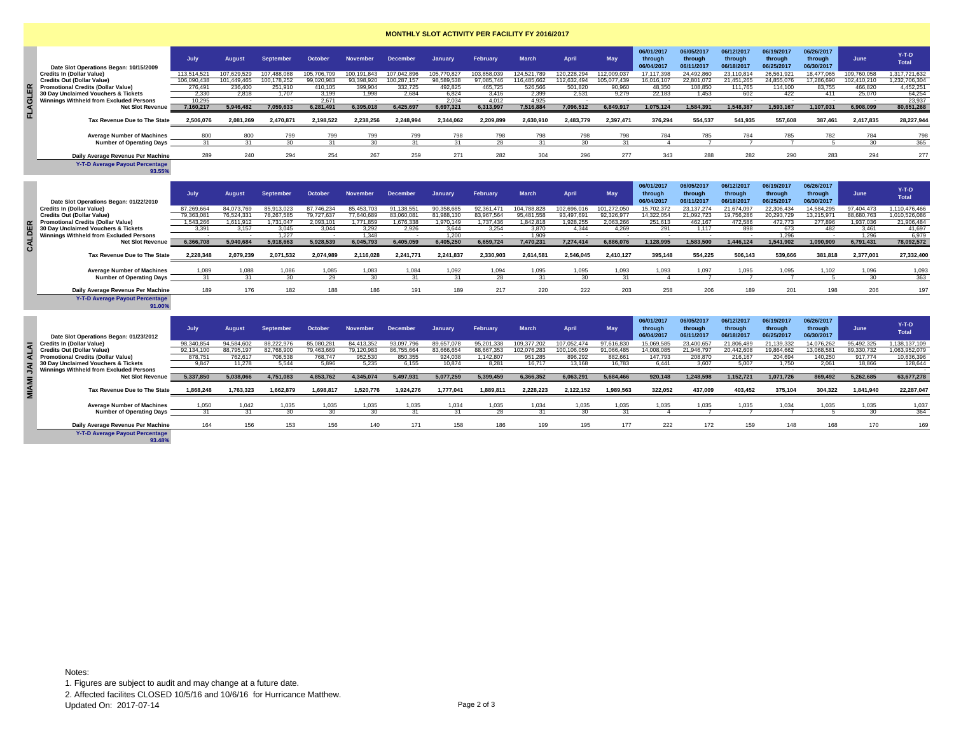## **MONTHLY SLOT ACTIVITY PER FACILITY FY 2016/2017**

|   | Date Slot Operations Began: 10/15/2009           | July        | August     | <b>September</b> | October     | <b>November</b> | <b>December</b> | January   | February    | <b>March</b> | April       | May        | 06/01/2017<br>through<br>06/04/2017 | 16/05/2011<br>through<br>06/11/2017 | 06/12/2017<br>through<br>06/18/2017 | 06/19/2017<br>through<br>06/25/201 | 06/26/2017<br>through<br>06/30/2017 | June        | $Y-T-D$<br>Total |
|---|--------------------------------------------------|-------------|------------|------------------|-------------|-----------------|-----------------|-----------|-------------|--------------|-------------|------------|-------------------------------------|-------------------------------------|-------------------------------------|------------------------------------|-------------------------------------|-------------|------------------|
|   | <b>Credits In (Dollar Value)</b>                 | 113,514,52  | 07.629.52  | 07.488.08        | 105,706,709 | 00.191.843      | 107.042.89      | 05,770,82 | 103,858,039 | 24,521,789   | 120.228.294 | 12.009.037 | 17,117,398                          | 24.492.860                          | 23.110.81                           | 26.561.92                          | 18,477,065                          | 109.760.058 | 1,317,721,632    |
|   | <b>Credits Out (Dollar Value)</b>                | 106,090,438 | 01.449.465 | 100.178.252      | 99,020,983  | 93,398,920      | 100,287,157     | 98,589,53 | 97,085,746  | 16,485,662   | 112.632.494 | 05.077.439 | 16,016,107                          | 22.801.072                          | 21.451.26                           | 24,855,07                          | 7,286,690                           | 102,410,210 | ,232,706,304     |
|   | <b>Promotional Credits (Dollar Value)</b>        | 276.491     | 236,400    | 251.910          | 410.105     | 399.904         | 332.725         | 492.825   | 465.725     | 526.566      | 501.820     | 90.960     | 48.350                              | 108.850                             | 111.765                             | 114.100                            | 83.755                              | 466,820     | 4,452,251        |
|   | 30 Day Unclaimed Vouchers & Tickets              | 2,330       | 2.818      | 1.707            | 3,199       | 1,998           | 2.684           | 6.824     | 3.416       | 2,399        | 2.531       | 9.279      | 22,183                              | ,453                                | 602                                 |                                    | 411                                 | 25,070      | 64,254           |
|   | <b>Winnings Withheld from Excluded Persons</b>   | 10.295      |            |                  | 2.671       |                 |                 | 2.034     | 4.012       | 4.925        |             |            |                                     |                                     |                                     |                                    |                                     |             | 23,937           |
|   | <b>Net Slot Revenue</b>                          | 7,160,217   | 5,946,482  | 7,059,633        | 6,281,491   | 6,395,018       | 6,425,697       | 6.697.32  | 6,313,997   | 7,516,884    | 7,096,512   | 6.849.917  | 1,075,124                           | 1,584,391                           | 1,548,387                           | 1,593,167                          | 1,107,031                           | 6,908,099   | 80,651,268       |
| ᄘ | Tax Revenue Due to The State                     | 2,506,076   | 2,081,269  | 2.470.871        | 2,198,522   | 2.238.256       | 2.248.994       | 2.344.062 | 2.209.899   | 2,630,910    | 2.483.779   | 2.397.471  | 376,294                             | 554,537                             | 541,935                             | 557,608                            | 387,461                             | 2,417,835   | 28,227,944       |
|   | <b>Average Number of Machines</b>                | 800         | 800        | 799              | 799         | 799             | 799             | 798       | 798         | 798          | 798         | 798        | 784                                 | 785                                 | 784                                 | 785                                | 782                                 | 784         | 798              |
|   | <b>Number of Operating Days</b>                  |             |            |                  |             |                 |                 |           | $\sim$      |              |             |            |                                     |                                     |                                     |                                    |                                     |             | 365              |
|   | Daily Average Revenue Per Machine                | 289         | 240        | 294              | 254         | 267             | 259             | 271       | 282         | 304          | 296         | 277        | 343                                 | 288                                 | 282                                 | 290                                | 283                                 | 294         | 277              |
|   | <b>Y-T-D Average Payout Percentage</b><br>93.55% |             |            |                  |             |                 |                 |           |             |              |             |            |                                     |                                     |                                     |                                    |                                     |             |                  |

CALDER

| Date Slot Operations Began: 01/22/2010           | July       | <b>August</b> | <b>September</b> | October    | <b>November</b> | <b>December</b> | <b>January</b> | February  | <b>March</b> | April     | May        | 06/01/2017<br>through<br>06/04/2017 | 06/05/2017<br>through<br>06/11/2017 | 06/12/2017<br>through<br>06/18/2017 | 06/19/2017<br>through<br>06/25/2017 | 06/26/2017<br>through<br>06/30/2017 | June       | $Y-T-D$<br><b>Total</b> |
|--------------------------------------------------|------------|---------------|------------------|------------|-----------------|-----------------|----------------|-----------|--------------|-----------|------------|-------------------------------------|-------------------------------------|-------------------------------------|-------------------------------------|-------------------------------------|------------|-------------------------|
| <b>Credits In (Dollar Value)</b>                 | 87.269.66  | 84.073        | 85.913.02        | 87.746.23  |                 | 91.138.55       | 90.358         | 92,361,47 |              | 02.696    |            | 15,702,372                          | 23.137.27                           | 21.674.09                           | 22.306.434                          | 4.584.295                           | 97.404.473 | .110.476.466            |
| <b>Credits Out (Dollar Value)</b>                | 79.363.081 | 76.524.33     | 78.267.585       | 79.727.637 |                 | 83,060,08       | 81,988,130     | 83.967.56 | 95.481.558   | 93.497.69 | 92.326.977 | 14.322.054                          |                                     | 19.756.286                          | 20.293.729                          | 3.215.971                           | 88,680,763 | ,010,526,086            |
| <b>Promotional Credits (Dollar Value)</b>        | 1.543.266  | 1.611.912     | .731.047         | 2.093.101  | .771.859        | 1.676.338       | 1.970.149      | .737.436  | 1.842.818    | 1.928.255 | 2.063.266  | 251.613                             | 462.167                             | 472.586                             | 472.773                             | 277,896                             | 937.036    | 21,906,484              |
| 30 Day Unclaimed Vouchers & Tickets              | 3.391      | 3.157         | 3.045            | 3,044      | 3.292           | 2.926           | 3.644          | 3,254     | 3,870        | 4.344     | 4.269      | 291                                 | 1.117                               | 898                                 |                                     | 482                                 | 3.461      | 41,697                  |
| Winnings Withheld from Excluded Persons          |            |               | 1.227            |            | 1.348           |                 | 1.200          |           | .909         |           |            |                                     |                                     |                                     | 1.296                               |                                     | 1.296      | 6,979                   |
| <b>Net Slot Revenue</b>                          | 6,366,708  | 5.940.684     | 5.918.663        | 5.928.539  | 6.045.793       | 6,405,059       | 6,405,250      | 6,659,724 | 7.470.231    | 7.274.414 | 6,886,076  | .128.995                            | 1,583,500                           | 1.446.124                           | 1.541.902                           | 1,090,909                           | 6,791,431  | 78,092,572              |
| Tax Revenue Due to The State                     | 2.228.348  | 2,079,239     | 2,071,532        | 2,074,989  | 2,116,028       | 2,241,771       | 2,241,837      | 2,330,903 | 2,614,581    | 2,546,045 | 2,410,127  | 395,148                             | 554,225                             | 506,143                             | 539,666                             | 381,818                             | 2,377,001  | 27,332,400              |
| <b>Average Number of Machines</b>                | 1,089      | 1.088         | .086             | 1,085      | 1,083           | 1,084           | 1.092          | 1.094     | 1,095        | 1,095     | 1,093      | 1,093                               | 1,097                               | 1,095                               | 1,095                               | 1,102                               | 1,096      | 1,093                   |
| <b>Number of Operating Days</b>                  | 31         |               | 30               | 29         | 30              |                 | 31             | 28        | 31           | 30        | 31         |                                     |                                     |                                     |                                     |                                     | 30         | 363                     |
| Daily Average Revenue Per Machine                | 189        | 176           | 182              | 188        | 186             | 191             | 189            | 217       | 220          | 222       | 203        | 258                                 | 206                                 | 189                                 | 201                                 | 198                                 | 206        | 197                     |
| <b>Y-T-D Average Payout Percentage</b><br>91.00% |            |               |                  |            |                 |                 |                |           |              |           |            |                                     |                                     |                                     |                                     |                                     |            |                         |

|    | orcano out roomar value.                                                              | uu.uuu. <del></del> uu   |                          | .                        | ,,,,,,,,,,,              | ,,,,,,,,,,                            |                          | ,,,,,,,,,,               | <del>.</del> .           | . <del>. .</del>           | L.UJ.L.TJ                  | . <del>.</del>           | ,,,,,,,,,                           |                                     | .                                   | .                                   | .cuu.uuu                            |                          | <i>LUL.I</i> UU.UU          |
|----|---------------------------------------------------------------------------------------|--------------------------|--------------------------|--------------------------|--------------------------|---------------------------------------|--------------------------|--------------------------|--------------------------|----------------------------|----------------------------|--------------------------|-------------------------------------|-------------------------------------|-------------------------------------|-------------------------------------|-------------------------------------|--------------------------|-----------------------------|
| œ  | <b>Promotional Credits (Dollar Value)</b>                                             | 276.491                  | 236,400                  | 251.910                  | 410.105                  | 399.904                               | 332.725                  | 492.825                  | 465.725                  | 526.566                    | 501.820                    | 90.960                   | 48.350                              | 108.850                             | 111.765                             | 114,100                             | 83.755                              | 466,820                  | 4.452.251                   |
|    | 30 Day Unclaimed Vouchers & Tickets                                                   | 2,330                    | 2.818                    | 1.707                    | 3,199                    | 1.998                                 | 2.684                    | 6.824                    | 3.416                    | 2,399                      | 2.531                      | 9.279                    | 22,183                              | 1,453                               | 602                                 | 422                                 | 411                                 | 25,070                   | 64.254                      |
|    | <b>Winnings Withheld from Excluded Persons</b>                                        | 10.295                   | $\sim$                   |                          | 2.671                    | $\sim$                                |                          | 2.034                    | 4.012                    | 4.925                      | $\sim$                     |                          | $\sim$                              | $\sim$                              |                                     | $\sim$                              |                                     | $\sim$                   | 23.937                      |
|    | <b>Net Slot Revenue</b>                                                               | 7,160,217                | 5.946.482                | 7,059,633                | 6.281.491                | 6,395,018                             | 6.425.697                | 6.697.321                | 6.313.997                | 7.516.884                  | 7.096.512                  | 6.849.917                | 1,075,124                           | 1.584.391                           | 1.548.387                           | 1.593.167                           | 1,107,031                           | 6.908.099                | 80,651,268                  |
| ℡. | Tax Revenue Due to The State                                                          | 2,506,076                | 2,081,269                | 2,470,871                | 2,198,522                | 2,238,256                             | 2,248,994                | 2,344,062                | 2,209,899                | 2,630,910                  | 2,483,779                  | 2,397,471                | 376,294                             | 554,537                             | 541,935                             | 557,608                             | 387,461                             | 2,417,835                | 28,227,944                  |
|    | <b>Average Number of Machines</b>                                                     | 800                      | 800                      | 799                      | 799                      | 799                                   | 799                      | 798                      | 798                      | 798                        | 798                        | 798                      | 784                                 | 785                                 | 784                                 | 785                                 | 782                                 | 784                      | 798                         |
|    | <b>Number of Operating Davs</b>                                                       | 31                       | 31                       | 30 <sup>2</sup>          | 31                       | 30 <sup>2</sup>                       | 31                       | 31                       | 28                       | 31                         | 30                         | 31                       | $\mathbf{A}$                        |                                     |                                     |                                     |                                     | 30                       | 365                         |
|    | Daily Average Revenue Per Machine                                                     | 289                      | 240                      | 294                      | 254                      | 267                                   | 259                      | 271                      | 282                      | 304                        | 296                        | 277                      | 343                                 | 288                                 | 282                                 | 290                                 | 283                                 | 294                      | 277                         |
|    | <b>Y-T-D Average Payout Percentage</b><br>93.55%                                      |                          |                          |                          |                          |                                       |                          |                          |                          |                            |                            |                          |                                     |                                     |                                     |                                     |                                     |                          |                             |
|    | Date Slot Operations Began: 01/22/2010                                                | July                     | <b>August</b>            | <b>September</b>         | <b>October</b>           | <b>November</b>                       | December                 | January                  | February                 | <b>March</b>               | April                      | May                      | 06/01/2017<br>through<br>06/04/2017 | 06/05/2017<br>through<br>06/11/2017 | 06/12/2017<br>through<br>06/18/2017 | 06/19/2017<br>through<br>06/25/2017 | 06/26/2017<br>through<br>06/30/2017 | June                     | $Y-T-D$<br>Total            |
|    | <b>Credits In (Dollar Value)</b>                                                      | 87.269.664               | 84.073.769               | 85.913.023               | 87,746,234               | 85.453.703                            | 91.138.55                | 90.358.685               | 92.361.47                | 104.788.828                | 102.696.01                 | 101.272.050              | 15,702,372                          | 23.137.274                          | 21.674.097                          | 22.306.434                          | 14.584.295                          | 97.404.473               | .110.476.466                |
|    | <b>Credits Out (Dollar Value)</b>                                                     | 79.363.081               | 76.524.331               | 78.267.585               | 79.727.637               | 77.640.689                            | 83,060,081               | 81.988.130               | 83.967.564               | 95.481.558                 | 93.497.691                 | 92.326.977               | 14.322.054                          | 21.092.723                          | 19.756.286                          | 20.293.729                          | 13.215.971                          | 88.680.763               | 1.010.526.086               |
|    | <b>Promotional Credits (Dollar Value)</b>                                             | 1,543,266                | 1,611,912                | 1,731,047                | 2,093,101                | 1,771,859                             | 1,676,338                | 1,970,149                | 1,737,436                | 1,842,818                  | 1,928,255                  | 2,063,266                | 251,613                             | 462,167                             | 472,586                             | 472,773                             | 277,896                             | 1,937,036                | 21,906,484                  |
|    | 30 Day Unclaimed Vouchers & Tickets                                                   | 3,391                    | 3,157                    | 3.045                    | 3.044                    | 3,292                                 | 2,926                    | 3,644                    | 3,254                    | 3,870                      | 4.344                      | 4,269                    | 291                                 | 1,117                               | 898                                 | 673                                 | 482                                 | 3,461                    | 41,697                      |
|    | Winnings Withheld from Excluded Persons                                               |                          |                          | 1.227                    | $\sim$                   | 1.348                                 | $\sim$                   | 1.200                    | $\sim$                   | 1.909                      |                            |                          | $\sim$                              | $\sim$                              |                                     | 1.296                               |                                     | 1.296                    | 6.979                       |
|    | <b>Net Slot Revenue</b>                                                               | 6,366,708                | 5.940.684                | 5.918.663                | 5,928,539                | 6,045,793                             | 6,405,059                | 6.405.250                | 6,659,724                | 7.470.231                  | 7,274,414                  | 6.886.076                | 1.128.995                           | 1.583.500                           | 1.446.124                           | 1.541.902                           | 1,090,909                           | 6.791.431                | 78,092,572                  |
|    | Tax Revenue Due to The State                                                          | 2,228,348                | 2,079,239                | 2,071,532                | 2,074,989                | 2,116,028                             | 2,241,771                | 2,241,837                | 2,330,903                | 2,614,581                  | 2,546,045                  | 2,410,127                | 395,148                             | 554,225                             | 506,143                             | 539,666                             | 381,818                             | 2,377,001                | 27,332,400                  |
|    | <b>Average Number of Machines</b>                                                     | 1.089                    | 1.088                    | 1.086                    | 1.085                    | 1.083                                 | 1.084                    | 1.092                    | 1.094                    | 1.095                      | 1.095                      | 1.093                    | 1.093                               | 1.097                               | 1.095                               | 1.095                               | 1.102                               | 1.096                    | 1,093                       |
|    | <b>Number of Operating Davs</b>                                                       | 31                       | 31                       | 30                       | 29                       | 30                                    | 31                       | 31                       | 28                       | 31                         | 30                         | 31                       | $\mathbf{A}$                        | $\overline{7}$                      |                                     |                                     | -5                                  | 30                       | 363                         |
|    | Daily Average Revenue Per Machine                                                     | 189                      | 176                      | 182                      | 188                      | 186                                   | 191                      | 189                      | 217                      | 220                        | 222                        | 203                      | 258                                 | 206                                 | 189                                 | 201                                 | 198                                 | 206                      | 197                         |
|    | <b>Y-T-D Average Payout Percentage</b><br>91.00%                                      |                          |                          |                          |                          |                                       |                          |                          |                          |                            |                            |                          |                                     |                                     |                                     |                                     |                                     |                          |                             |
|    | Date Slot Operations Began: 01/23/2012                                                | July                     | <b>August</b>            | September                | October                  | <b>November</b>                       | <b>December</b>          | January                  | February                 | <b>March</b>               | April                      | May                      | 06/01/2017<br>through<br>06/04/2017 | 06/05/2017<br>through<br>06/11/2017 | 06/12/2017<br>through<br>06/18/2017 | 06/19/2017<br>through<br>06/25/2017 | 06/26/2017<br>through<br>06/30/2017 | June                     | $Y-T-D$<br><b>Total</b>     |
|    | <b>Credits In (Dollar Value)</b><br><b>Credits Out (Dollar Value)</b>                 | 98.340.854<br>92.134.100 | 94.584.602<br>88.795.197 | 88.222.976<br>82.768.900 | 85.080.281<br>79.463.669 | 84.413.352<br>79.120.983              | 93.097.796<br>86.755.664 | 89.657.078<br>83.666.654 | 95.201.338<br>88.667.353 | 109.377.202<br>102.076.283 | 107.052.474<br>100.106.059 | 97.616.830<br>91.066.485 | 15.069.585<br>14.008.085            | 23,400,657<br>21.946.797            | 21.806.489<br>20.442.608            | 21.139.332<br>19.864.662            | 14.076.262<br>13.068.581            | 95.492.325<br>89.330.732 | .138.137.109<br>063.952.079 |
|    |                                                                                       |                          |                          |                          |                          |                                       |                          |                          |                          |                            |                            |                          |                                     |                                     |                                     |                                     |                                     |                          | 10,636,396                  |
|    | <b>Promotional Credits (Dollar Value)</b>                                             | 878,751                  | 762,617                  | 708,538                  | 768,747<br>5.896         | 952,530                               | 850,355<br>6.155         | 924,038                  | 1,142,807                | 951,285                    | 896,292                    | 882,661                  | 147,793<br>6.441                    | 208,870                             | 216,167                             | 204,694<br>1.750                    | 140,250                             | 917,774                  |                             |
|    | 30 Day Unclaimed Vouchers & Tickets<br><b>Winnings Withheld from Excluded Persons</b> | 9,847                    | 11,278                   | 5.544                    |                          | 5,235                                 |                          | 10,874                   | 8,281                    | 16,717                     | 13,168                     | 16,783                   |                                     | 3,607                               | 5.007                               |                                     | 2,061                               | 18,866                   | 128,644                     |
|    | <b>Net Slot Revenue</b>                                                               | 5,337,850                | 5.038.066                | 4.751.083                | $\sim$<br>4.853.762      | $\overline{\phantom{a}}$<br>4.345.074 | 5.497.931                | 5,077,259                | $\sim$<br>5.399.459      | 6.366.352                  | 6.063.291                  | 5.684.466                | $\sim$<br>920,148                   | $\sim$<br>1.248.598                 | 1.152.721                           | 1.071.726                           | 869.492                             | $\sim$<br>5.262.685      | 63,677,278                  |
|    |                                                                                       |                          |                          |                          |                          |                                       |                          |                          |                          |                            |                            |                          |                                     |                                     |                                     |                                     |                                     |                          |                             |
|    | Tax Revenue Due to The State                                                          | 1,868,248                | 1,763,323                | 1,662,879                | 1,698,817                | 1,520,776                             | 1,924,276                | 1,777,041                | 1,889,811                | 2,228,223                  | 2,122,152                  | 1,989,563                | 322,052                             | 437,009                             | 403,452                             | 375,104                             | 304,322                             | 1,841,940                | 22,287,047                  |
|    | <b>Average Number of Machines</b>                                                     | 1,050                    | 1,042                    | 1,035                    | 1,035                    | 1,035                                 | 1,035                    | 1,034                    | 1,035                    | 1,034                      | 1,035                      | 1,035                    | 1,035                               | 1,035                               | 1,035                               | 1,034                               | 1,035                               | 1,035                    | 1,037                       |
|    | <b>Number of Operating Davs</b>                                                       | 31                       | 31                       | 30                       | 30                       | 30                                    | 31                       | 31                       | 28                       | 31                         | 30                         | 31                       |                                     |                                     |                                     |                                     |                                     | 30                       | 364                         |
|    |                                                                                       |                          |                          |                          |                          |                                       |                          |                          |                          |                            |                            |                          |                                     |                                     |                                     |                                     |                                     |                          |                             |
|    | Daily Average Revenue Per Machine                                                     | 164                      | 156                      | 153                      | 156                      | 140                                   | 171                      | 158                      | 186                      | 199                        | 195                        | 177                      | 222                                 | 172                                 | 159                                 | 148                                 | 168                                 | 170                      | 169                         |
|    | <b>Y-T-D Average Pavout Percentage</b>                                                |                          |                          |                          |                          |                                       |                          |                          |                          |                            |                            |                          |                                     |                                     |                                     |                                     |                                     |                          |                             |
|    |                                                                                       |                          |                          |                          |                          |                                       |                          |                          |                          |                            |                            |                          |                                     |                                     |                                     |                                     |                                     |                          |                             |

**Y-T-D Average Payout Percentage 93.48%**

1. Figures are subject to audit and may change at a future date.

2. Affected facilites CLOSED 10/5/16 and 10/6/16 for Hurricance Matthew.

Updated On: 2017-07-14 Page 2 of 3

Notes: